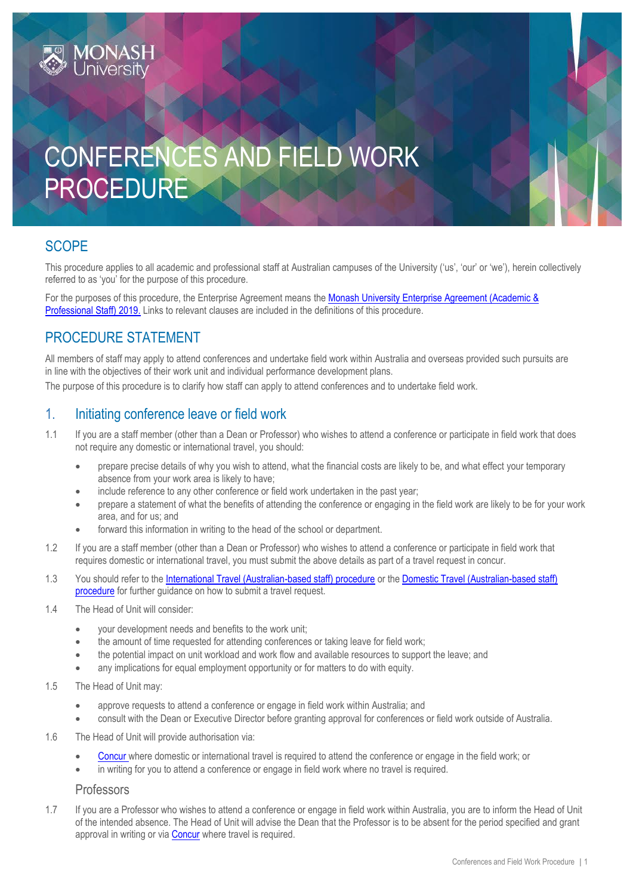# CONFERENCES AND FIELD WORK PROCEDURE

## **SCOPE**

This procedure applies to all academic and professional staff at Australian campuses of the University ('us', 'our' or 'we'), herein collectively referred to as 'you' for the purpose of this procedure.

For the purposes of this procedure, the Enterprise Agreement means the Monash University Enterprise Agreement (Academic & [Professional Staff\) 2019.](https://www.monash.edu/current-enterprise-agreements/academic-professional-2019) Links to relevant clauses are included in the definitions of this procedure.

## PROCEDURE STATEMENT

All members of staff may apply to attend conferences and undertake field work within Australia and overseas provided such pursuits are in line with the objectives of their work unit and individual performance development plans.

The purpose of this procedure is to clarify how staff can apply to attend conferences and to undertake field work.

#### 1. Initiating conference leave or field work

- 1.1 If you are a staff member (other than a Dean or Professor) who wishes to attend a conference or participate in field work that does not require any domestic or international travel, you should:
	- prepare precise details of why you wish to attend, what the financial costs are likely to be, and what effect your temporary absence from your work area is likely to have;
	- include reference to any other conference or field work undertaken in the past year;
	- prepare a statement of what the benefits of attending the conference or engaging in the field work are likely to be for your work area, and for us; and
	- forward this information in writing to the head of the school or department.
- 1.2 If you are a staff member (other than a Dean or Professor) who wishes to attend a conference or participate in field work that requires domestic or international travel, you must submit the above details as part of a travel request in concur.
- 1.3 You should refer to the [International Travel \(Australian-based staff\) procedure](https://publicpolicydms.monash.edu/Monash/documents/1935693) or the [Domestic Travel \(Australian-based staff\)](https://publicpolicydms.monash.edu/Monash/documents/1935677)  [procedure](https://publicpolicydms.monash.edu/Monash/documents/1935677) for further guidance on how to submit a travel request.
- 1.4 The Head of Unit will consider:
	- your development needs and benefits to the work unit;
	- the amount of time requested for attending conferences or taking leave for field work;
	- the potential impact on unit workload and work flow and available resources to support the leave; and
	- any implications for equal employment opportunity or for matters to do with equity.
- 1.5 The Head of Unit may:
	- approve requests to attend a conference or engage in field work within Australia; and
	- consult with the Dean or Executive Director before granting approval for conferences or field work outside of Australia.
- 1.6 The Head of Unit will provide authorisation via:
	- [Concur](http://www.intranet.monash/finance/our-services/travel) where domestic or international travel is required to attend the conference or engage in the field work; or
	- in writing for you to attend a conference or engage in field work where no travel is required.

#### Professors

1.7 If you are a Professor who wishes to attend a conference or engage in field work within Australia, you are to inform the Head of Unit of the intended absence. The Head of Unit will advise the Dean that the Professor is to be absent for the period specified and grant approval in writing or vi[a Concur](http://www.intranet.monash/finance/our-services/travel) where travel is required.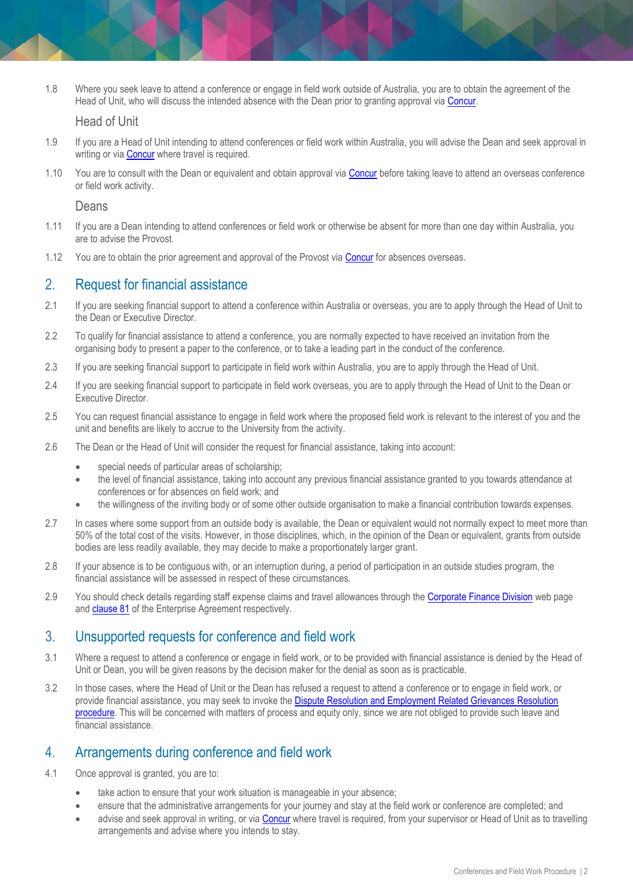1.8 Where you seek leave to attend a conference or engage in field work outside of Australia, you are to obtain the agreement of the Head of Unit, who will discuss the intended absence with the Dean prior to granting approval via [Concur.](http://www.intranet.monash/finance/our-services/travel)

#### Head of Unit

- 1.9 If you are a Head of Unit intending to attend conferences or field work within Australia, you will advise the Dean and seek approval in writing or via [Concur](http://www.intranet.monash/finance/our-services/travel) where travel is required.
- 1.10 You are to consult with the Dean or equivalent and obtain approval via [Concur](http://www.intranet.monash/finance/our-services/travel) before taking leave to attend an overseas conference or field work activity.

Deans

- 1.11 If you are a Dean intending to attend conferences or field work or otherwise be absent for more than one day within Australia, you are to advise the Provost.
- 1.12 You are to obtain the prior agreement and approval of the Provost via [Concur](http://www.intranet.monash/finance/our-services/travel) for absences overseas.

#### 2. Request for financial assistance

- 2.1 If you are seeking financial support to attend a conference within Australia or overseas, you are to apply through the Head of Unit to the Dean or Executive Director.
- 2.2 To qualify for financial assistance to attend a conference, you are normally expected to have received an invitation from the organising body to present a paper to the conference, or to take a leading part in the conduct of the conference.
- 2.3 If you are seeking financial support to participate in field work within Australia, you are to apply through the Head of Unit.
- 2.4 If you are seeking financial support to participate in field work overseas, you are to apply through the Head of Unit to the Dean or Executive Director.
- 2.5 You can request financial assistance to engage in field work where the proposed field work is relevant to the interest of you and the unit and benefits are likely to accrue to the University from the activity.
- 2.6 The Dean or the Head of Unit will consider the request for financial assistance, taking into account:
	- special needs of particular areas of scholarship;
	- the level of financial assistance, taking into account any previous financial assistance granted to you towards attendance at conferences or for absences on field work; and
	- the willingness of the inviting body or of some other outside organisation to make a financial contribution towards expenses.
- 2.7 In cases where some support from an outside body is available, the Dean or equivalent would not normally expect to meet more than 50% of the total cost of the visits. However, in those disciplines, which, in the opinion of the Dean or equivalent, grants from outside bodies are less readily available, they may decide to make a proportionately larger grant.
- 2.8 If your absence is to be contiguous with, or an interruption during, a period of participation in an outside studies program, the financial assistance will be assessed in respect of these circumstances.
- 2.9 You should check details regarding staff expense claims and travel allowances through the [Corporate Finance Division](https://monash.edu/vpfinance/our-divisions/cfd) web page and [clause 81](https://www.monash.edu/current-enterprise-agreements/academic-professional-2019#81) of the Enterprise Agreement respectively.

#### 3. Unsupported requests for conference and field work

- 3.1 Where a request to attend a conference or engage in field work, or to be provided with financial assistance is denied by the Head of Unit or Dean, you will be given reasons by the decision maker for the denial as soon as is practicable.
- 3.2 In those cases, where the Head of Unit or the Dean has refused a request to attend a conference or to engage in field work, or provide financial assistance, you may seek to invoke the Dispute Resolution and Employment Related Grievances Resolution [procedure.](https://publicpolicydms.monash.edu/Monash/documents/1935675) This will be concerned with matters of process and equity only, since we are not obliged to provide such leave and financial assistance.

#### 4. Arrangements during conference and field work

- 4.1 Once approval is granted, you are to:
	- take action to ensure that your work situation is manageable in your absence;
	- ensure that the administrative arrangements for your journey and stay at the field work or conference are completed; and
	- advise and seek approval in writing, or vi[a Concur](https://my.monash.edu.au/services/travel-and-expense/?_ga=2.232358559.1889085213.1500264530-378021980.1494308956) where travel is required, from your supervisor or Head of Unit as to travelling arrangements and advise where you intends to stay.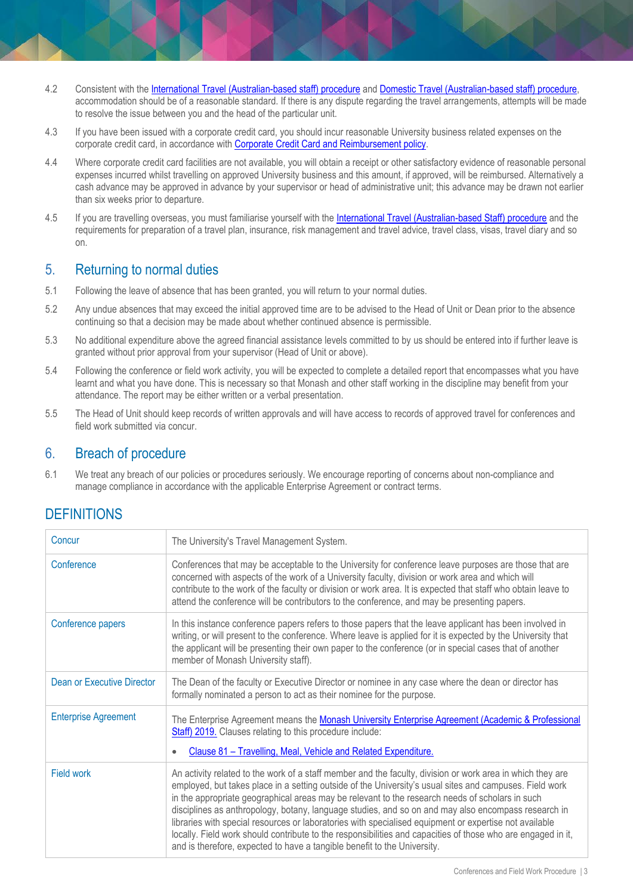- 4.2 Consistent with the [International Travel \(Australian-based staff\) procedure](https://publicpolicydms.monash.edu/Monash/documents/1935693) and [Domestic Travel \(Australian-based staff\) procedure,](https://publicpolicydms.monash.edu/Monash/documents/1935677) accommodation should be of a reasonable standard. If there is any dispute regarding the travel arrangements, attempts will be made to resolve the issue between you and the head of the particular unit.
- 4.3 If you have been issued with a corporate credit card, you should incur reasonable University business related expenses on the corporate credit card, in accordance with [Corporate Credit Card and Reimbursement policy.](https://publicpolicydms.monash.edu/Monash/documents/1909191)
- 4.4 Where corporate credit card facilities are not available, you will obtain a receipt or other satisfactory evidence of reasonable personal expenses incurred whilst travelling on approved University business and this amount, if approved, will be reimbursed. Alternatively a cash advance may be approved in advance by your supervisor or head of administrative unit; this advance may be drawn not earlier than six weeks prior to departure.
- 4.5 If you are travelling overseas, you must familiarise yourself with the [International Travel \(Australian-based Staff\) procedure](https://publicpolicydms.monash.edu/Monash/documents/1935693) and the requirements for preparation of a travel plan, insurance, risk management and travel advice, travel class, visas, travel diary and so on.

## 5. Returning to normal duties

- 5.1 Following the leave of absence that has been granted, you will return to your normal duties.
- 5.2 Any undue absences that may exceed the initial approved time are to be advised to the Head of Unit or Dean prior to the absence continuing so that a decision may be made about whether continued absence is permissible.
- 5.3 No additional expenditure above the agreed financial assistance levels committed to by us should be entered into if further leave is granted without prior approval from your supervisor (Head of Unit or above).
- 5.4 Following the conference or field work activity, you will be expected to complete a detailed report that encompasses what you have learnt and what you have done. This is necessary so that Monash and other staff working in the discipline may benefit from your attendance. The report may be either written or a verbal presentation.
- 5.5 The Head of Unit should keep records of written approvals and will have access to records of approved travel for conferences and field work submitted via concur.

### 6. Breach of procedure

6.1 We treat any breach of our policies or procedures seriously. We encourage reporting of concerns about non-compliance and manage compliance in accordance with the applicable Enterprise Agreement or contract terms.

## **DEFINITIONS**

| Concur                      | The University's Travel Management System.                                                                                                                                                                                                                                                                                                                                                                                                                                                                                                                                                                                                                                                                                            |
|-----------------------------|---------------------------------------------------------------------------------------------------------------------------------------------------------------------------------------------------------------------------------------------------------------------------------------------------------------------------------------------------------------------------------------------------------------------------------------------------------------------------------------------------------------------------------------------------------------------------------------------------------------------------------------------------------------------------------------------------------------------------------------|
| Conference                  | Conferences that may be acceptable to the University for conference leave purposes are those that are<br>concerned with aspects of the work of a University faculty, division or work area and which will<br>contribute to the work of the faculty or division or work area. It is expected that staff who obtain leave to<br>attend the conference will be contributors to the conference, and may be presenting papers.                                                                                                                                                                                                                                                                                                             |
| Conference papers           | In this instance conference papers refers to those papers that the leave applicant has been involved in<br>writing, or will present to the conference. Where leave is applied for it is expected by the University that<br>the applicant will be presenting their own paper to the conference (or in special cases that of another<br>member of Monash University staff).                                                                                                                                                                                                                                                                                                                                                             |
| Dean or Executive Director  | The Dean of the faculty or Executive Director or nominee in any case where the dean or director has<br>formally nominated a person to act as their nominee for the purpose.                                                                                                                                                                                                                                                                                                                                                                                                                                                                                                                                                           |
| <b>Enterprise Agreement</b> | The Enterprise Agreement means the Monash University Enterprise Agreement (Academic & Professional<br>Staff) 2019. Clauses relating to this procedure include:<br>Clause 81 - Travelling, Meal, Vehicle and Related Expenditure.<br>$\bullet$                                                                                                                                                                                                                                                                                                                                                                                                                                                                                         |
| Field work                  | An activity related to the work of a staff member and the faculty, division or work area in which they are<br>employed, but takes place in a setting outside of the University's usual sites and campuses. Field work<br>in the appropriate geographical areas may be relevant to the research needs of scholars in such<br>disciplines as anthropology, botany, language studies, and so on and may also encompass research in<br>libraries with special resources or laboratories with specialised equipment or expertise not available<br>locally. Field work should contribute to the responsibilities and capacities of those who are engaged in it,<br>and is therefore, expected to have a tangible benefit to the University. |